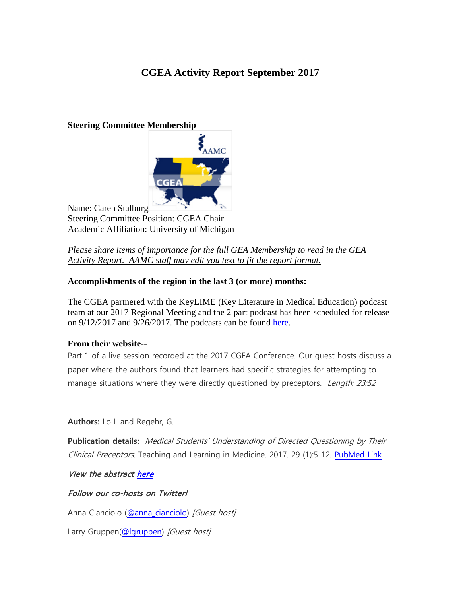# **CGEA Activity Report September 2017**

#### **Steering Committee Membership**



Name: Caren Stalburg Steering Committee Position: CGEA Chair Academic Affiliation: University of Michigan

*Please share items of importance for the full GEA Membership to read in the GEA Activity Report. AAMC staff may edit you text to fit the report format.*

### **Accomplishments of the region in the last 3 (or more) months:**

The CGEA partnered with the KeyLIME (Key Literature in Medical Education) podcast team at our 2017 Regional Meeting and the 2 part podcast has been scheduled for release on 9/12/2017 and 9/26/2017. The podcasts can be found [here.](http://keylimepodcast.libsyn.com/143-wagging-the-dog-student-approaches-for-managing-questioning-by-their-preceptors)

# **From their website--**

Part 1 of a live session recorded at the 2017 CGEA Conference. Our guest hosts discuss a paper where the authors found that learners had specific strategies for attempting to manage situations where they were directly questioned by preceptors. Length: 23:52

**Authors:** Lo L and Regehr, G.

**Publication details:** Medical Students' Understanding of Directed Questioning by Their Clinical Preceptors. Teaching and Learning in Medicine. 2017. 29 (1):5-12. [PubMed Link](https://www.ncbi.nlm.nih.gov/pubmed/27541066)

View the abstrac[t here](http://hwcdn.libsyn.com/p/6/2/2/622a7e53a90341f8/KeyLIME_Episode_143.pdf?c_id=16789010&destination_id=540214&expiration=1505225247&hwt=d1691fbdf2f24d369d1be6982b00d366)

Follow our co-hosts on Twitter!

Anna Cianciolo [\(@anna\\_cianciolo\)](https://twitter.com/anna_cianciolo) [Guest host]

Larry Gruppen[\(@lgruppen\)](https://twitter.com/lgruppen) [Guest host]